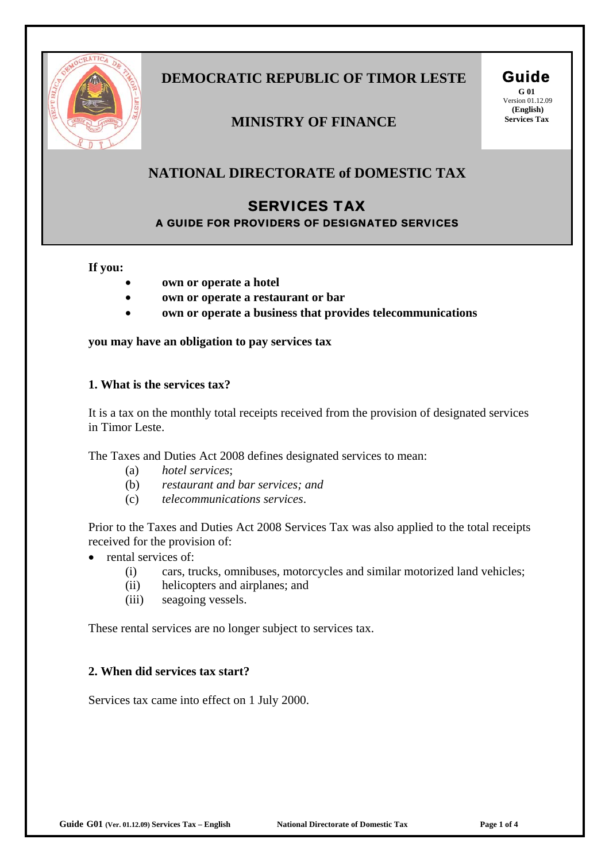

# **DEMOCRATIC REPUBLIC OF TIMOR LESTE Guide**

### **MINISTRY OF FINANCE** Services Tax

**G 01**  Version 01.12.09  **(English)**

### **NATIONAL DIRECTORATE of DOMESTIC TAX**

## SERVICES TAX

A GUIDE FOR PROVIDERS OF DESIGNATED SERVICES

#### **If you:**

- **own or operate a hotel**
- **own or operate a restaurant or bar**
- **own or operate a business that provides telecommunications**

#### **you may have an obligation to pay services tax**

#### **1. What is the services tax?**

It is a tax on the monthly total receipts received from the provision of designated services in Timor Leste.

The Taxes and Duties Act 2008 defines designated services to mean:

- (a) *hotel services*;
- (b) *restaurant and bar services; and*
- (c) *telecommunications services*.

Prior to the Taxes and Duties Act 2008 Services Tax was also applied to the total receipts received for the provision of:

- rental services of:
	- (i) cars, trucks, omnibuses, motorcycles and similar motorized land vehicles;
	- (ii) helicopters and airplanes; and
	- (iii) seagoing vessels.

These rental services are no longer subject to services tax.

#### **2. When did services tax start?**

Services tax came into effect on 1 July 2000.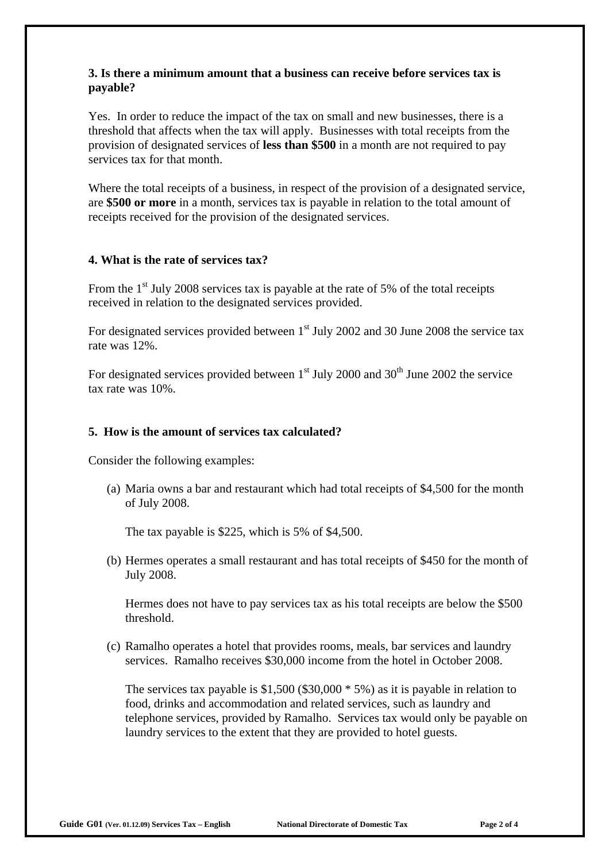#### **3. Is there a minimum amount that a business can receive before services tax is payable?**

Yes. In order to reduce the impact of the tax on small and new businesses, there is a threshold that affects when the tax will apply. Businesses with total receipts from the provision of designated services of **less than \$500** in a month are not required to pay services tax for that month.

Where the total receipts of a business, in respect of the provision of a designated service, are **\$500 or more** in a month, services tax is payable in relation to the total amount of receipts received for the provision of the designated services.

#### **4. What is the rate of services tax?**

From the  $1<sup>st</sup>$  July 2008 services tax is payable at the rate of 5% of the total receipts received in relation to the designated services provided.

For designated services provided between  $1<sup>st</sup>$  July 2002 and 30 June 2008 the service tax rate was 12%.

For designated services provided between  $1<sup>st</sup>$  July 2000 and 30<sup>th</sup> June 2002 the service tax rate was 10%.

#### **5. How is the amount of services tax calculated?**

Consider the following examples:

(a) Maria owns a bar and restaurant which had total receipts of \$4,500 for the month of July 2008.

The tax payable is \$225, which is 5% of \$4,500.

(b) Hermes operates a small restaurant and has total receipts of \$450 for the month of July 2008.

Hermes does not have to pay services tax as his total receipts are below the \$500 threshold.

(c) Ramalho operates a hotel that provides rooms, meals, bar services and laundry services. Ramalho receives \$30,000 income from the hotel in October 2008.

The services tax payable is \$1,500 (\$30,000  $*$  5%) as it is payable in relation to food, drinks and accommodation and related services, such as laundry and telephone services, provided by Ramalho. Services tax would only be payable on laundry services to the extent that they are provided to hotel guests.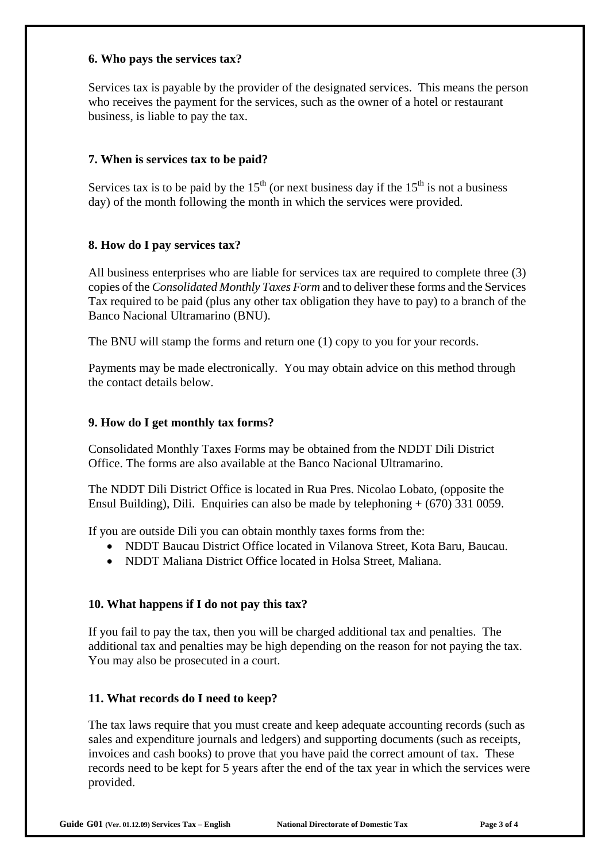#### **6. Who pays the services tax?**

Services tax is payable by the provider of the designated services. This means the person who receives the payment for the services, such as the owner of a hotel or restaurant business, is liable to pay the tax.

#### **7. When is services tax to be paid?**

Services tax is to be paid by the  $15<sup>th</sup>$  (or next business day if the  $15<sup>th</sup>$  is not a business day) of the month following the month in which the services were provided.

#### **8. How do I pay services tax?**

All business enterprises who are liable for services tax are required to complete three (3) copies of the *Consolidated Monthly Taxes Form* and to deliver these forms and the Services Tax required to be paid (plus any other tax obligation they have to pay) to a branch of the Banco Nacional Ultramarino (BNU).

The BNU will stamp the forms and return one (1) copy to you for your records.

Payments may be made electronically. You may obtain advice on this method through the contact details below.

#### **9. How do I get monthly tax forms?**

Consolidated Monthly Taxes Forms may be obtained from the NDDT Dili District Office. The forms are also available at the Banco Nacional Ultramarino.

The NDDT Dili District Office is located in Rua Pres. Nicolao Lobato, (opposite the Ensul Building), Dili. Enquiries can also be made by telephoning + (670) 331 0059.

If you are outside Dili you can obtain monthly taxes forms from the:

- NDDT Baucau District Office located in Vilanova Street, Kota Baru, Baucau.
- NDDT Maliana District Office located in Holsa Street, Maliana.

#### **10. What happens if I do not pay this tax?**

If you fail to pay the tax, then you will be charged additional tax and penalties. The additional tax and penalties may be high depending on the reason for not paying the tax. You may also be prosecuted in a court.

#### **11. What records do I need to keep?**

The tax laws require that you must create and keep adequate accounting records (such as sales and expenditure journals and ledgers) and supporting documents (such as receipts, invoices and cash books) to prove that you have paid the correct amount of tax. These records need to be kept for 5 years after the end of the tax year in which the services were provided.